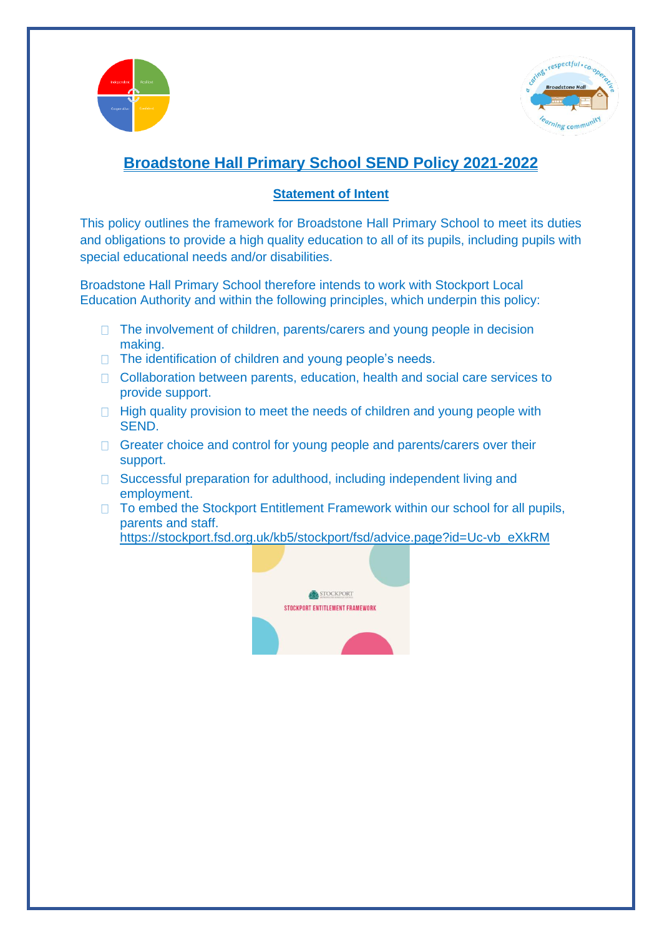



# **Broadstone Hall Primary School SEND Policy 2021-2022**

## **Statement of Intent**

This policy outlines the framework for Broadstone Hall Primary School to meet its duties and obligations to provide a high quality education to all of its pupils, including pupils with special educational needs and/or disabilities.

Broadstone Hall Primary School therefore intends to work with Stockport Local Education Authority and within the following principles, which underpin this policy:

- $\Box$  The involvement of children, parents/carers and young people in decision making.
- $\Box$  The identification of children and young people's needs.
- □ Collaboration between parents, education, health and social care services to provide support.
- $\Box$  High quality provision to meet the needs of children and young people with SEND.
- $\Box$  Greater choice and control for young people and parents/carers over their support.
- □ Successful preparation for adulthood, including independent living and employment.
- □ To embed the Stockport Entitlement Framework within our school for all pupils, parents and staff.

[https://stockport.fsd.org.uk/kb5/stockport/fsd/advice.page?id=Uc-vb\\_eXkRM](https://stockport.fsd.org.uk/kb5/stockport/fsd/advice.page?id=Uc-vb_eXkRM)

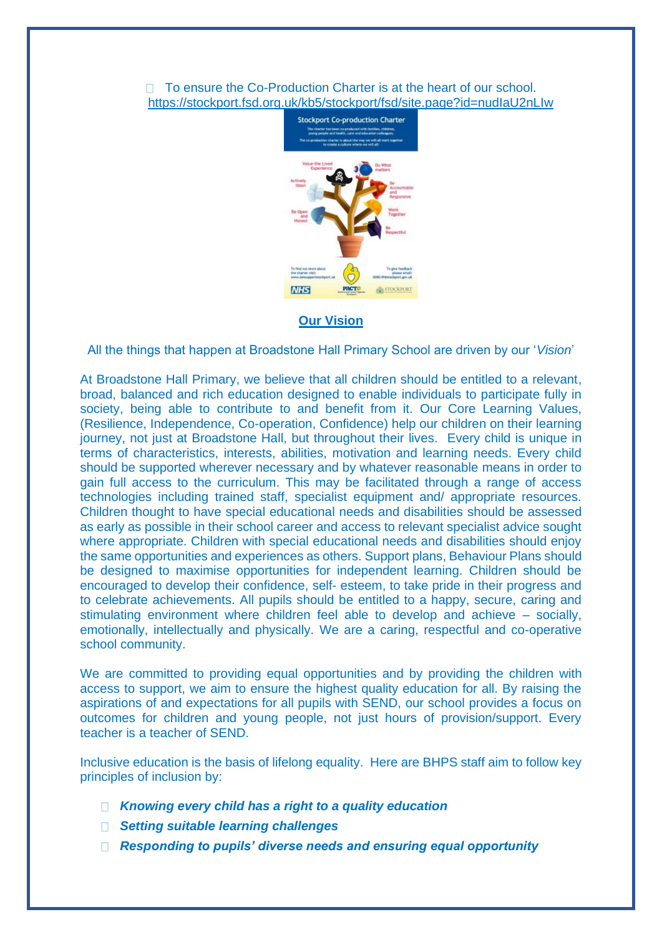## $\Box$  To ensure the Co-Production Charter is at the heart of our school. <https://stockport.fsd.org.uk/kb5/stockport/fsd/site.page?id=nudIaU2nLIw>



## **Our Vision**

All the things that happen at Broadstone Hall Primary School are driven by our '*Vision*'

At Broadstone Hall Primary, we believe that all children should be entitled to a relevant, broad, balanced and rich education designed to enable individuals to participate fully in society, being able to contribute to and benefit from it. Our Core Learning Values, (Resilience, Independence, Co-operation, Confidence) help our children on their learning journey, not just at Broadstone Hall, but throughout their lives. Every child is unique in terms of characteristics, interests, abilities, motivation and learning needs. Every child should be supported wherever necessary and by whatever reasonable means in order to gain full access to the curriculum. This may be facilitated through a range of access technologies including trained staff, specialist equipment and/ appropriate resources. Children thought to have special educational needs and disabilities should be assessed as early as possible in their school career and access to relevant specialist advice sought where appropriate. Children with special educational needs and disabilities should enjoy the same opportunities and experiences as others. Support plans, Behaviour Plans should be designed to maximise opportunities for independent learning. Children should be encouraged to develop their confidence, self- esteem, to take pride in their progress and to celebrate achievements. All pupils should be entitled to a happy, secure, caring and stimulating environment where children feel able to develop and achieve – socially, emotionally, intellectually and physically. We are a caring, respectful and co-operative school community.

We are committed to providing equal opportunities and by providing the children with access to support, we aim to ensure the highest quality education for all. By raising the aspirations of and expectations for all pupils with SEND, our school provides a focus on outcomes for children and young people, not just hours of provision/support. Every teacher is a teacher of SEND.

Inclusive education is the basis of lifelong equality. Here are BHPS staff aim to follow key principles of inclusion by:

- *Knowing every child has a right to a quality education*
- *Setting suitable learning challenges*
- *Responding to pupils' diverse needs and ensuring equal opportunity*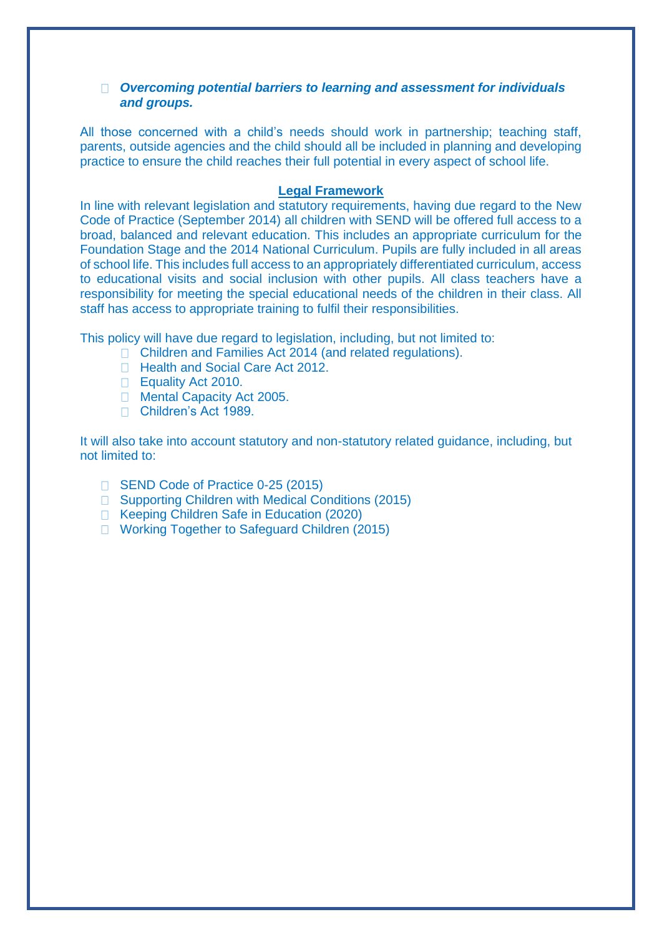## *Overcoming potential barriers to learning and assessment for individuals and groups.*

All those concerned with a child's needs should work in partnership; teaching staff, parents, outside agencies and the child should all be included in planning and developing practice to ensure the child reaches their full potential in every aspect of school life.

## **Legal Framework**

In line with relevant legislation and statutory requirements, having due regard to the New Code of Practice (September 2014) all children with SEND will be offered full access to a broad, balanced and relevant education. This includes an appropriate curriculum for the Foundation Stage and the 2014 National Curriculum. Pupils are fully included in all areas of school life. This includes full access to an appropriately differentiated curriculum, access to educational visits and social inclusion with other pupils. All class teachers have a responsibility for meeting the special educational needs of the children in their class. All staff has access to appropriate training to fulfil their responsibilities.

This policy will have due regard to legislation, including, but not limited to:

- □ Children and Families Act 2014 (and related regulations).
- □ Health and Social Care Act 2012.
- Equality Act 2010.
- **Mental Capacity Act 2005.**
- Children's Act 1989.

It will also take into account statutory and non-statutory related guidance, including, but not limited to:

- □ SEND Code of Practice 0-25 (2015)
- □ Supporting Children with Medical Conditions (2015)
- □ Keeping Children Safe in Education (2020)
- □ Working Together to Safeguard Children (2015)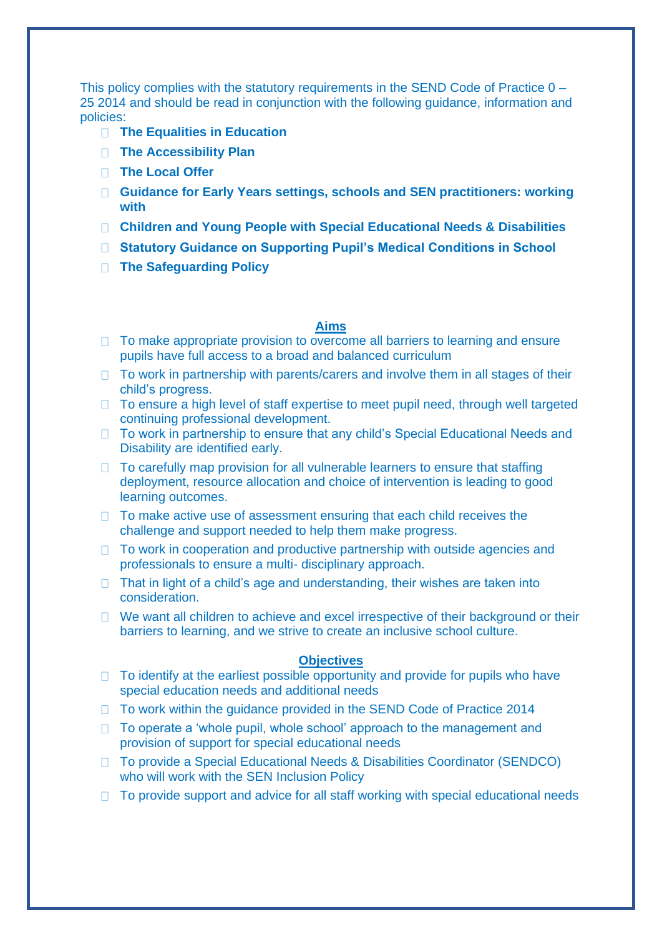This policy complies with the statutory requirements in the SEND Code of Practice 0 – 25 2014 and should be read in conjunction with the following guidance, information and policies:

- **The Equalities in Education**
- **The Accessibility Plan**
- **The Local Offer**
- **Guidance for Early Years settings, schools and SEN practitioners: working with**
- **Children and Young People with Special Educational Needs & Disabilities**
- **Statutory Guidance on Supporting Pupil's Medical Conditions in School**
- **The Safeguarding Policy**

## **Aims**

- $\Box$  To make appropriate provision to overcome all barriers to learning and ensure pupils have full access to a broad and balanced curriculum
- $\Box$  To work in partnership with parents/carers and involve them in all stages of their child's progress.
- $\Box$  To ensure a high level of staff expertise to meet pupil need, through well targeted continuing professional development.
- □ To work in partnership to ensure that any child's Special Educational Needs and Disability are identified early.
- $\Box$  To carefully map provision for all vulnerable learners to ensure that staffing deployment, resource allocation and choice of intervention is leading to good learning outcomes.
- $\Box$  To make active use of assessment ensuring that each child receives the challenge and support needed to help them make progress.
- $\Box$  To work in cooperation and productive partnership with outside agencies and professionals to ensure a multi- disciplinary approach.
- $\Box$  That in light of a child's age and understanding, their wishes are taken into consideration.
- $\Box$  We want all children to achieve and excel irrespective of their background or their barriers to learning, and we strive to create an inclusive school culture.

#### **Objectives**

- $\Box$  To identify at the earliest possible opportunity and provide for pupils who have special education needs and additional needs
- □ To work within the quidance provided in the SEND Code of Practice 2014
- □ To operate a 'whole pupil, whole school' approach to the management and provision of support for special educational needs
- To provide a Special Educational Needs & Disabilities Coordinator (SENDCO) who will work with the SEN Inclusion Policy
- $\Box$  To provide support and advice for all staff working with special educational needs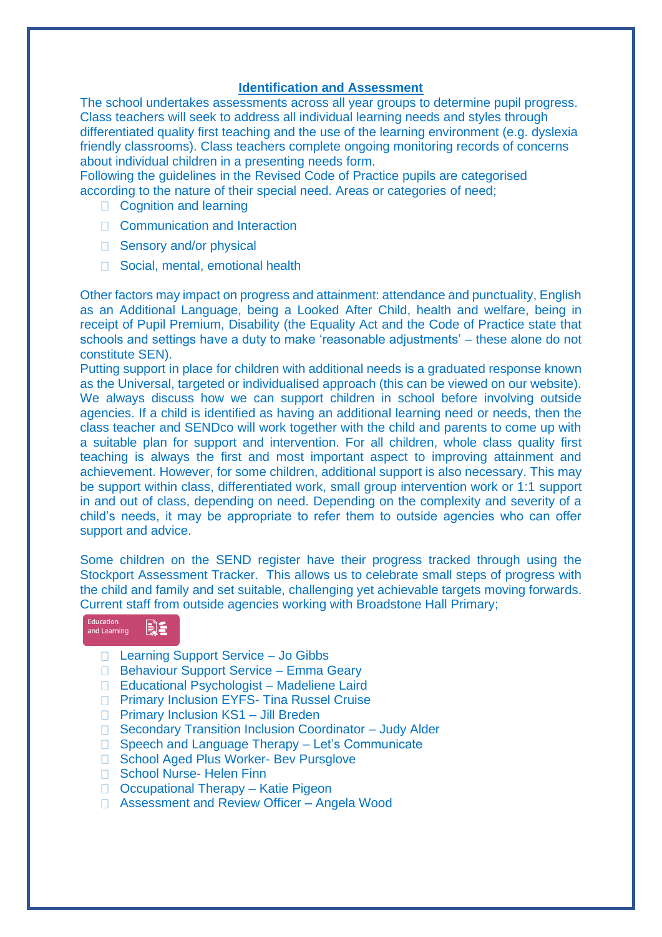#### **Identification and Assessment**

The school undertakes assessments across all year groups to determine pupil progress. Class teachers will seek to address all individual learning needs and styles through differentiated quality first teaching and the use of the learning environment (e.g. dyslexia friendly classrooms). Class teachers complete ongoing monitoring records of concerns about individual children in a presenting needs form.

Following the guidelines in the Revised Code of Practice pupils are categorised according to the nature of their special need. Areas or categories of need;

- □ Cognition and learning
- □ Communication and Interaction
- □ Sensory and/or physical
- □ Social, mental, emotional health

Other factors may impact on progress and attainment: attendance and punctuality, English as an Additional Language, being a Looked After Child, health and welfare, being in receipt of Pupil Premium, Disability (the Equality Act and the Code of Practice state that schools and settings have a duty to make 'reasonable adjustments' – these alone do not constitute SEN).

Putting support in place for children with additional needs is a graduated response known as the Universal, targeted or individualised approach (this can be viewed on our website). We always discuss how we can support children in school before involving outside agencies. If a child is identified as having an additional learning need or needs, then the class teacher and SENDco will work together with the child and parents to come up with a suitable plan for support and intervention. For all children, whole class quality first teaching is always the first and most important aspect to improving attainment and achievement. However, for some children, additional support is also necessary. This may be support within class, differentiated work, small group intervention work or 1:1 support in and out of class, depending on need. Depending on the complexity and severity of a child's needs, it may be appropriate to refer them to outside agencies who can offer support and advice.

Some children on the SEND register have their progress tracked through using the Stockport Assessment Tracker. This allows us to celebrate small steps of progress with the child and family and set suitable, challenging yet achievable targets moving forwards. Current staff from outside agencies working with Broadstone Hall Primary;

#### Education<br>and Learning Be

- □ Learning Support Service Jo Gibbs
- □ Behaviour Support Service Emma Geary
- □ Educational Psychologist Madeliene Laird
- □ Primary Inclusion EYFS- Tina Russel Cruise
- $\Box$  Primary Inclusion KS1 Jill Breden
- □ Secondary Transition Inclusion Coordinator Judy Alder
- □ Speech and Language Therapy Let's Communicate
- □ School Aged Plus Worker- Bev Pursglove
- □ School Nurse- Helen Finn
- □ Occupational Therapy Katie Pigeon
- □ Assessment and Review Officer Angela Wood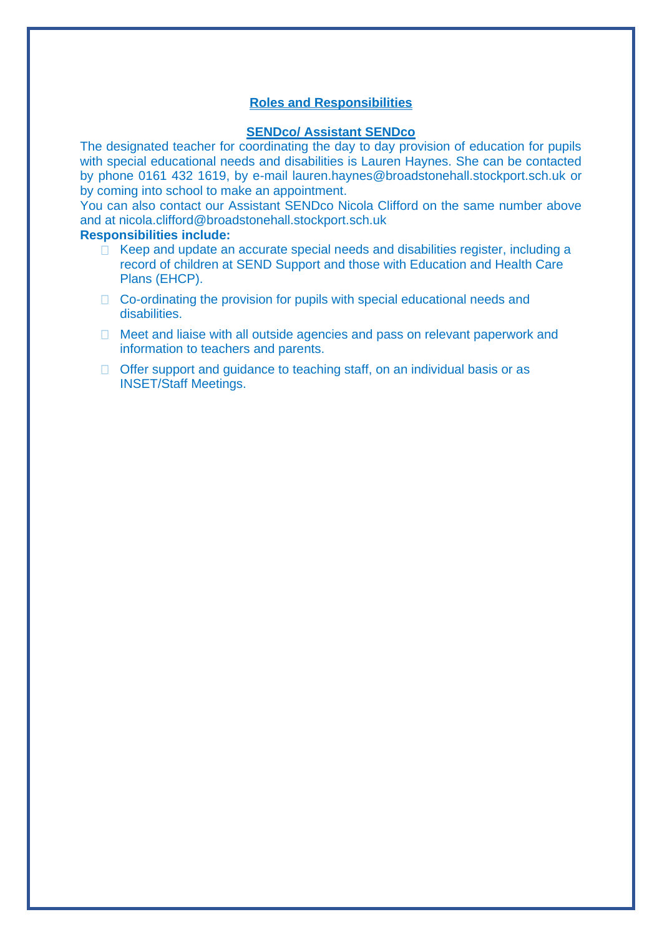## **Roles and Responsibilities**

#### **SENDco/ Assistant SENDco**

The designated teacher for coordinating the day to day provision of education for pupils with special educational needs and disabilities is Lauren Haynes. She can be contacted by phone 0161 432 1619, by e-mail lauren.haynes@broadstonehall.stockport.sch.uk or by coming into school to make an appointment.

You can also contact our Assistant SENDco Nicola Clifford on the same number above and at nicola.clifford@broadstonehall.stockport.sch.uk

#### **Responsibilities include:**

- $\Box$  Keep and update an accurate special needs and disabilities register, including a record of children at SEND Support and those with Education and Health Care Plans (EHCP).
- $\Box$  Co-ordinating the provision for pupils with special educational needs and disabilities.
- □ Meet and liaise with all outside agencies and pass on relevant paperwork and information to teachers and parents.
- $\Box$  Offer support and guidance to teaching staff, on an individual basis or as INSET/Staff Meetings.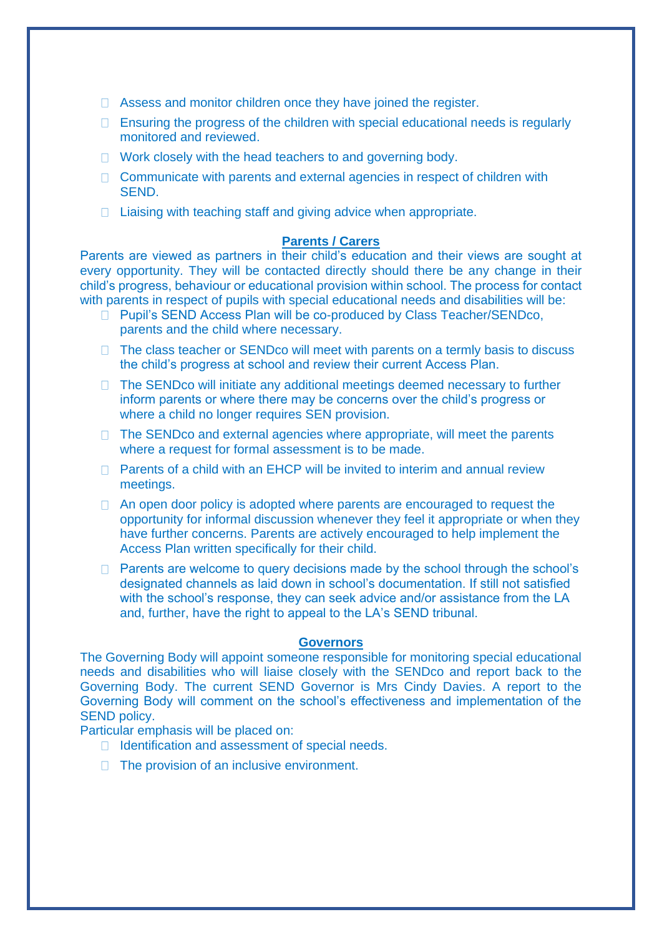- □ Assess and monitor children once they have joined the register.
- $\Box$  Ensuring the progress of the children with special educational needs is regularly monitored and reviewed.
- $\Box$  Work closely with the head teachers to and governing body.
- $\Box$  Communicate with parents and external agencies in respect of children with **SEND.**
- $\Box$  Liaising with teaching staff and giving advice when appropriate.

#### **Parents / Carers**

Parents are viewed as partners in their child's education and their views are sought at every opportunity. They will be contacted directly should there be any change in their child's progress, behaviour or educational provision within school. The process for contact with parents in respect of pupils with special educational needs and disabilities will be:

- □ Pupil's SEND Access Plan will be co-produced by Class Teacher/SENDco, parents and the child where necessary.
- $\Box$  The class teacher or SENDco will meet with parents on a termly basis to discuss the child's progress at school and review their current Access Plan.
- $\Box$  The SENDco will initiate any additional meetings deemed necessary to further inform parents or where there may be concerns over the child's progress or where a child no longer requires SEN provision.
- $\Box$  The SENDco and external agencies where appropriate, will meet the parents where a request for formal assessment is to be made.
- $\Box$  Parents of a child with an EHCP will be invited to interim and annual review meetings.
- $\Box$  An open door policy is adopted where parents are encouraged to request the opportunity for informal discussion whenever they feel it appropriate or when they have further concerns. Parents are actively encouraged to help implement the Access Plan written specifically for their child.
- $\Box$  Parents are welcome to query decisions made by the school through the school's designated channels as laid down in school's documentation. If still not satisfied with the school's response, they can seek advice and/or assistance from the LA and, further, have the right to appeal to the LA's SEND tribunal.

#### **Governors**

The Governing Body will appoint someone responsible for monitoring special educational needs and disabilities who will liaise closely with the SENDco and report back to the Governing Body. The current SEND Governor is Mrs Cindy Davies. A report to the Governing Body will comment on the school's effectiveness and implementation of the SEND policy.

Particular emphasis will be placed on:

- $\Box$  Identification and assessment of special needs.
- $\Box$  The provision of an inclusive environment.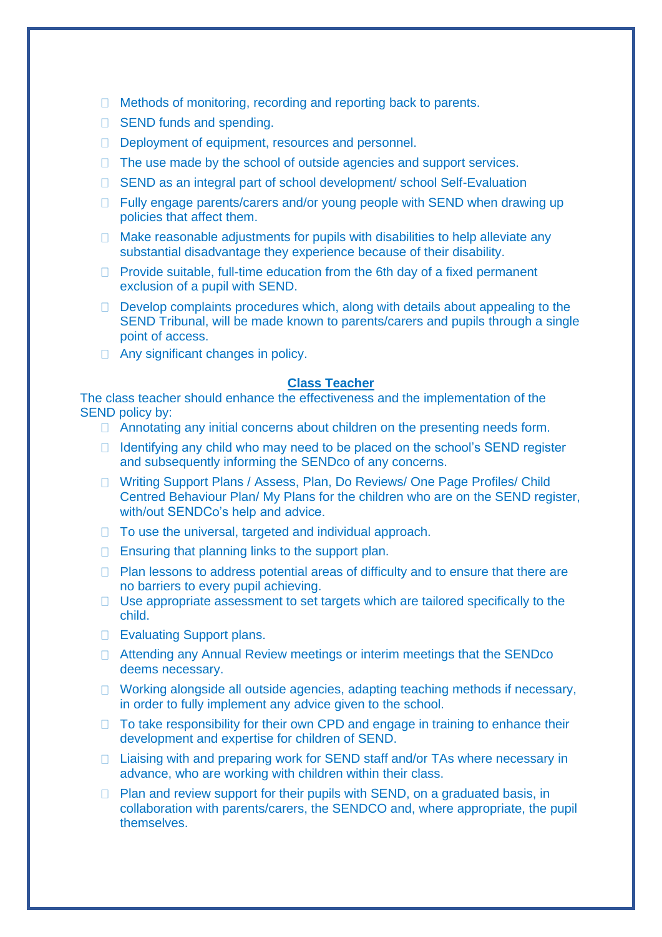- □ Methods of monitoring, recording and reporting back to parents.
- □ SEND funds and spending.
- Deployment of equipment, resources and personnel.
- $\Box$  The use made by the school of outside agencies and support services.
- □ SEND as an integral part of school development/ school Self-Evaluation
- $\Box$  Fully engage parents/carers and/or young people with SEND when drawing up policies that affect them.
- $\Box$  Make reasonable adjustments for pupils with disabilities to help alleviate any substantial disadvantage they experience because of their disability.
- $\Box$  Provide suitable, full-time education from the 6th day of a fixed permanent exclusion of a pupil with SEND.
- $\Box$  Develop complaints procedures which, along with details about appealing to the SEND Tribunal, will be made known to parents/carers and pupils through a single point of access.
- □ Any significant changes in policy.

#### **Class Teacher**

The class teacher should enhance the effectiveness and the implementation of the SEND policy by:

- $\Box$  Annotating any initial concerns about children on the presenting needs form.
- $\Box$  Identifying any child who may need to be placed on the school's SEND register and subsequently informing the SENDco of any concerns.
- □ Writing Support Plans / Assess, Plan, Do Reviews/ One Page Profiles/ Child Centred Behaviour Plan/ My Plans for the children who are on the SEND register, with/out SENDCo's help and advice.
- $\Box$  To use the universal, targeted and individual approach.
- $\Box$  Ensuring that planning links to the support plan.
- $\Box$  Plan lessons to address potential areas of difficulty and to ensure that there are no barriers to every pupil achieving.
- $\Box$  Use appropriate assessment to set targets which are tailored specifically to the child.
- □ Evaluating Support plans.
- □ Attending any Annual Review meetings or interim meetings that the SENDco deems necessary.
- □ Working alongside all outside agencies, adapting teaching methods if necessary, in order to fully implement any advice given to the school.
- $\Box$  To take responsibility for their own CPD and engage in training to enhance their development and expertise for children of SEND.
- □ Liaising with and preparing work for SEND staff and/or TAs where necessary in advance, who are working with children within their class.
- $\Box$  Plan and review support for their pupils with SEND, on a graduated basis, in collaboration with parents/carers, the SENDCO and, where appropriate, the pupil themselves.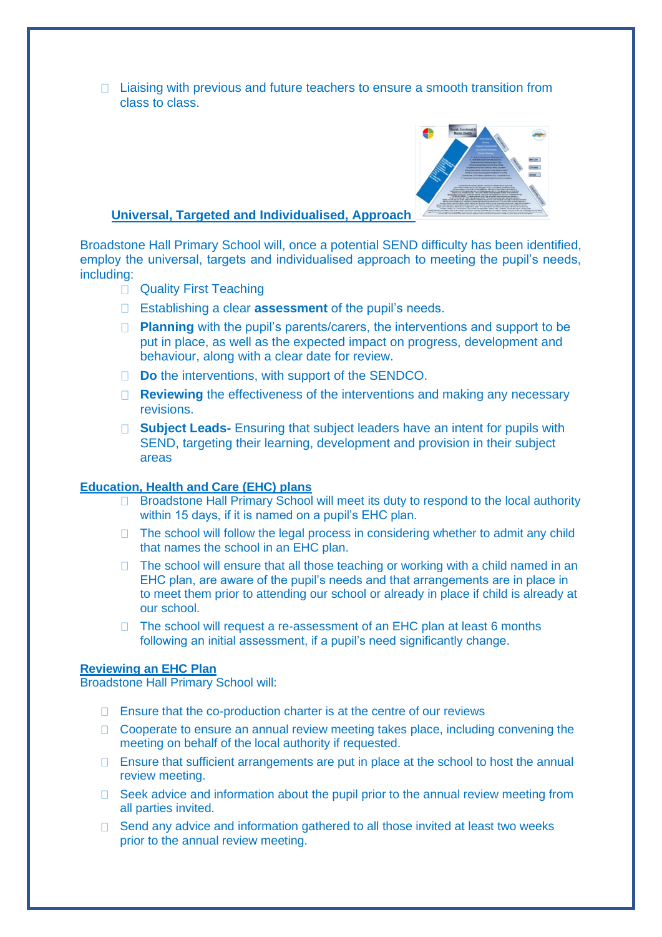$\Box$  Liaising with previous and future teachers to ensure a smooth transition from class to class.



#### **Universal, Targeted and Individualised, Approach**

Broadstone Hall Primary School will, once a potential SEND difficulty has been identified, employ the universal, targets and individualised approach to meeting the pupil's needs, including:

- **Quality First Teaching**
- Establishing a clear **assessment** of the pupil's needs.
- **Planning** with the pupil's parents/carers, the interventions and support to be put in place, as well as the expected impact on progress, development and behaviour, along with a clear date for review.
- □ **Do** the interventions, with support of the SENDCO.
- **Reviewing** the effectiveness of the interventions and making any necessary revisions.
- □ **Subject Leads-** Ensuring that subject leaders have an intent for pupils with SEND, targeting their learning, development and provision in their subject areas

#### **Education, Health and Care (EHC) plans**

- $\Box$  Broadstone Hall Primary School will meet its duty to respond to the local authority within 15 days, if it is named on a pupil's EHC plan.
- $\Box$  The school will follow the legal process in considering whether to admit any child that names the school in an EHC plan.
- $\Box$  The school will ensure that all those teaching or working with a child named in an EHC plan, are aware of the pupil's needs and that arrangements are in place in to meet them prior to attending our school or already in place if child is already at our school.
- $\Box$  The school will request a re-assessment of an EHC plan at least 6 months following an initial assessment, if a pupil's need significantly change.

## **Reviewing an EHC Plan**

Broadstone Hall Primary School will:

- $\Box$  Ensure that the co-production charter is at the centre of our reviews
- $\Box$  Cooperate to ensure an annual review meeting takes place, including convening the meeting on behalf of the local authority if requested.
- $\Box$  Ensure that sufficient arrangements are put in place at the school to host the annual review meeting.
- $\Box$  Seek advice and information about the pupil prior to the annual review meeting from all parties invited.
- Send any advice and information gathered to all those invited at least two weeks  $\Box$ prior to the annual review meeting.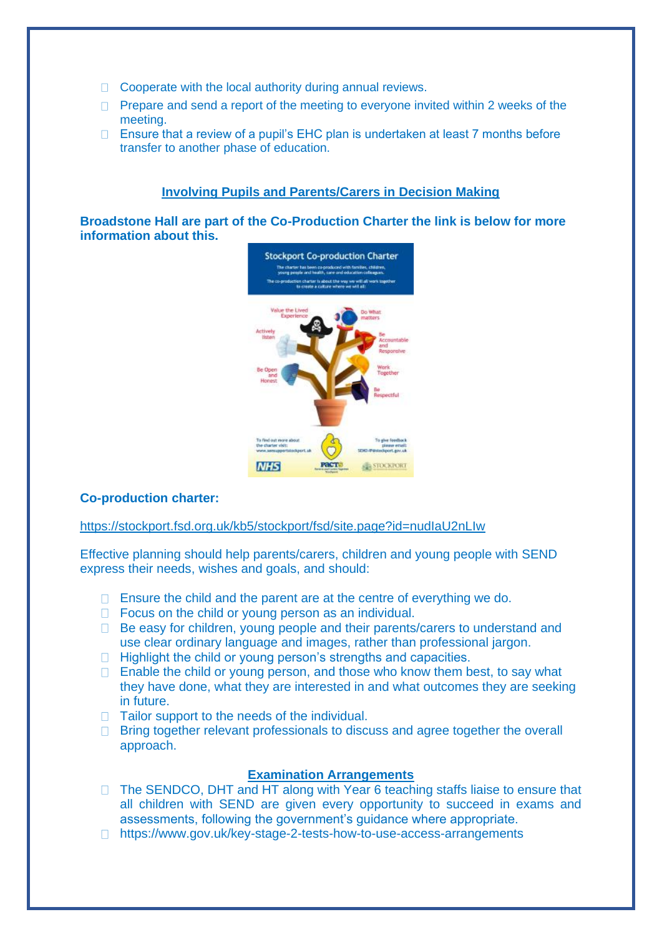- $\Box$  Cooperate with the local authority during annual reviews.
- $\Box$  Prepare and send a report of the meeting to everyone invited within 2 weeks of the meeting.
- $\Box$  Ensure that a review of a pupil's EHC plan is undertaken at least 7 months before transfer to another phase of education.

## **Involving Pupils and Parents/Carers in Decision Making**

**Broadstone Hall are part of the Co-Production Charter the link is below for more information about this.**



## **Co-production charter:**

### <https://stockport.fsd.org.uk/kb5/stockport/fsd/site.page?id=nudIaU2nLIw>

Effective planning should help parents/carers, children and young people with SEND express their needs, wishes and goals, and should:

- $\Box$  Ensure the child and the parent are at the centre of everything we do.
- $\Box$  Focus on the child or young person as an individual.
- □ Be easy for children, young people and their parents/carers to understand and use clear ordinary language and images, rather than professional jargon.
- $\Box$  Highlight the child or young person's strengths and capacities.
- $\Box$  Enable the child or young person, and those who know them best, to say what they have done, what they are interested in and what outcomes they are seeking in future.
- $\Box$  Tailor support to the needs of the individual.
- $\Box$  Bring together relevant professionals to discuss and agree together the overall approach.

## **Examination Arrangements**

- $\Box$  The SENDCO, DHT and HT along with Year 6 teaching staffs liaise to ensure that all children with SEND are given every opportunity to succeed in exams and assessments, following the government's guidance where appropriate.
- □ https://www.gov.uk/key-stage-2-tests-how-to-use-access-arrangements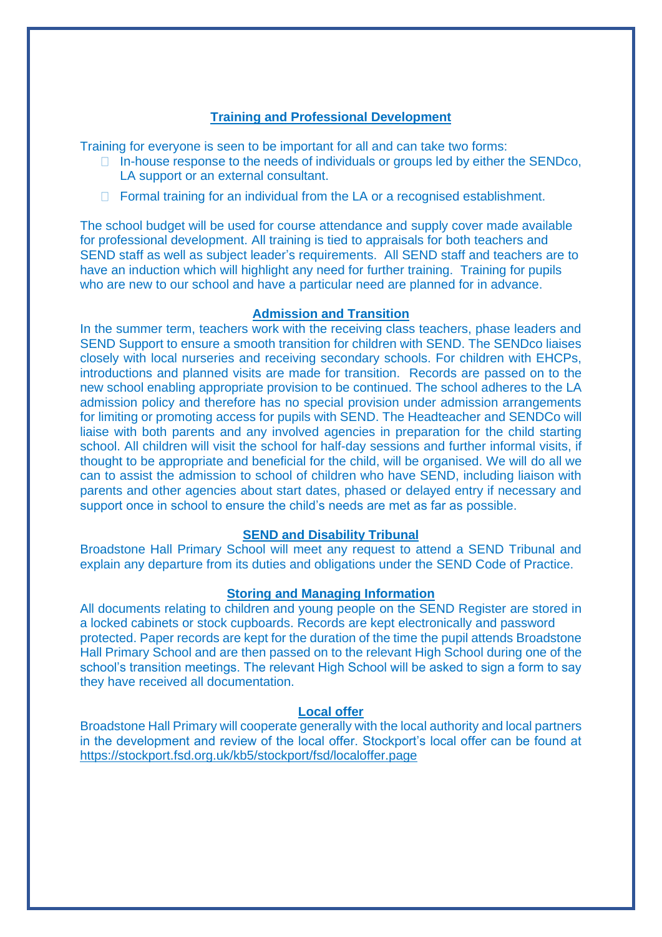## **Training and Professional Development**

Training for everyone is seen to be important for all and can take two forms:

- $\Box$  In-house response to the needs of individuals or groups led by either the SENDco, LA support or an external consultant.
- $\Box$  Formal training for an individual from the LA or a recognised establishment.

The school budget will be used for course attendance and supply cover made available for professional development. All training is tied to appraisals for both teachers and SEND staff as well as subject leader's requirements. All SEND staff and teachers are to have an induction which will highlight any need for further training. Training for pupils who are new to our school and have a particular need are planned for in advance.

#### **Admission and Transition**

In the summer term, teachers work with the receiving class teachers, phase leaders and SEND Support to ensure a smooth transition for children with SEND. The SENDco liaises closely with local nurseries and receiving secondary schools. For children with EHCPs, introductions and planned visits are made for transition. Records are passed on to the new school enabling appropriate provision to be continued. The school adheres to the LA admission policy and therefore has no special provision under admission arrangements for limiting or promoting access for pupils with SEND. The Headteacher and SENDCo will liaise with both parents and any involved agencies in preparation for the child starting school. All children will visit the school for half-day sessions and further informal visits, if thought to be appropriate and beneficial for the child, will be organised. We will do all we can to assist the admission to school of children who have SEND, including liaison with parents and other agencies about start dates, phased or delayed entry if necessary and support once in school to ensure the child's needs are met as far as possible.

#### **SEND and Disability Tribunal**

Broadstone Hall Primary School will meet any request to attend a SEND Tribunal and explain any departure from its duties and obligations under the SEND Code of Practice.

## **Storing and Managing Information**

All documents relating to children and young people on the SEND Register are stored in a locked cabinets or stock cupboards. Records are kept electronically and password protected. Paper records are kept for the duration of the time the pupil attends Broadstone Hall Primary School and are then passed on to the relevant High School during one of the school's transition meetings. The relevant High School will be asked to sign a form to say they have received all documentation.

#### **Local offer**

Broadstone Hall Primary will cooperate generally with the local authority and local partners in the development and review of the local offer. Stockport's local offer can be found at <https://stockport.fsd.org.uk/kb5/stockport/fsd/localoffer.page>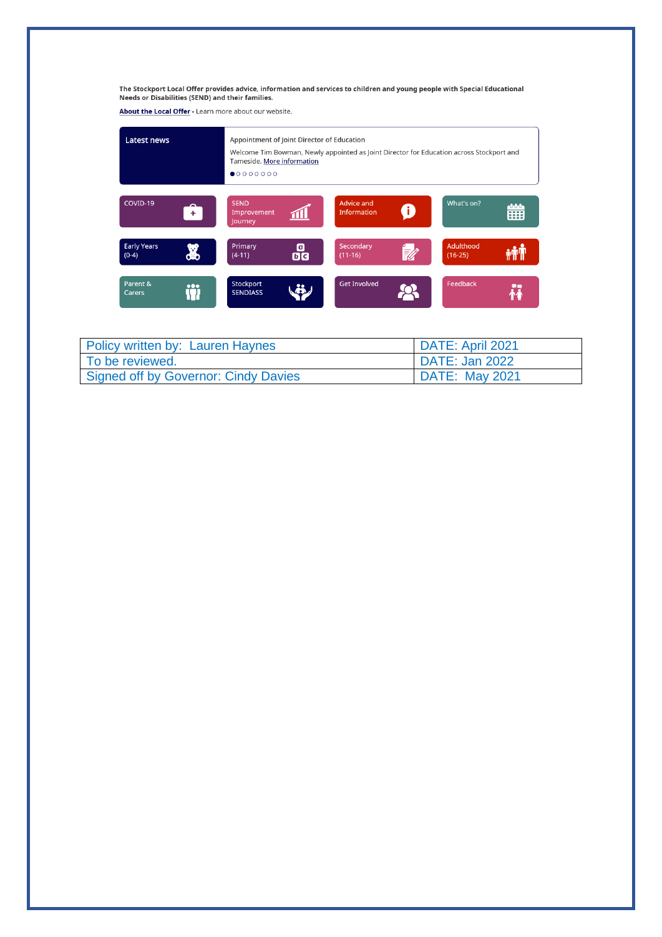The Stockport Local Offer provides advice, information and services to children and young people with Special Educational<br>Needs or Disabilities (SEND) and their families.

About the Local Offer - Learn more about our website.

| Latest news                                   | Appointment of Joint Director of Education<br>Welcome Tim Bowman, Newly appointed as Joint Director for Education across Stockport and<br>Tameside. More information<br>•00000000 |                                              |                           |
|-----------------------------------------------|-----------------------------------------------------------------------------------------------------------------------------------------------------------------------------------|----------------------------------------------|---------------------------|
| COVID-19<br>$+$                               | <b>SEND</b><br>Improvement<br>Journey                                                                                                                                             | <b>Advice and</b><br>8<br><b>Information</b> | What's on?<br>નનન<br>---- |
| <b>Early Years</b><br>8<br>$(0-4)$            | Primary<br>o<br>00<br>$(4-11)$                                                                                                                                                    | Secondary<br>.<br>Eli<br>$(11-16)$           | Adulthood<br>$(16-25)$    |
| Parent &<br>$\bullet\bullet\bullet$<br>Carers | Stockport<br><b>SENDIASS</b>                                                                                                                                                      | <b>Get Involved</b>                          | Feedback                  |

| Policy written by: Lauren Haynes     | I DATE: April 2021 |
|--------------------------------------|--------------------|
| l To be reviewed.                    | DATE: Jan 2022     |
| Signed off by Governor: Cindy Davies | DATE: May 2021     |